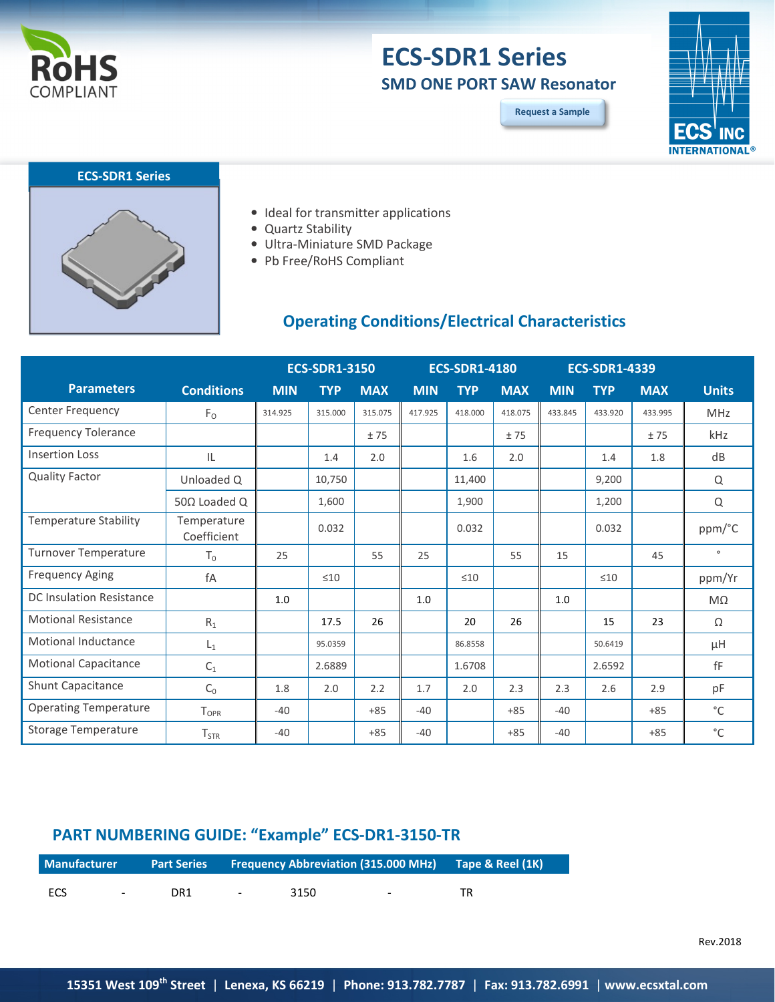

## **ECS-SDR1 Series SMD ONE PORT SAW Resonator**

**Request a Sample**





- Ideal for transmitter applications
- Quartz Stability
- Ultra-Miniature SMD Package
- Pb Free/RoHS Compliant

## **Operating Conditions/Electrical Characteristics**

|                              |                            | <b>ECS-SDR1-3150</b> |            | <b>ECS-SDR1-4180</b> |            |            | <b>ECS-SDR1-4339</b> |            |            |            |              |
|------------------------------|----------------------------|----------------------|------------|----------------------|------------|------------|----------------------|------------|------------|------------|--------------|
| <b>Parameters</b>            | <b>Conditions</b>          | <b>MIN</b>           | <b>TYP</b> | <b>MAX</b>           | <b>MIN</b> | <b>TYP</b> | <b>MAX</b>           | <b>MIN</b> | <b>TYP</b> | <b>MAX</b> | <b>Units</b> |
| Center Frequency             | $F_{O}$                    | 314.925              | 315.000    | 315.075              | 417.925    | 418.000    | 418.075              | 433.845    | 433.920    | 433.995    | MHz          |
| <b>Frequency Tolerance</b>   |                            |                      |            | ±75                  |            |            | ±75                  |            |            | ±75        | kHz          |
| <b>Insertion Loss</b>        | IL                         |                      | 1.4        | 2.0                  |            | 1.6        | 2.0                  |            | 1.4        | 1.8        | dB           |
| <b>Quality Factor</b>        | Unloaded Q                 |                      | 10,750     |                      |            | 11,400     |                      |            | 9,200      |            | Q            |
|                              | 50 $\Omega$ Loaded Q       |                      | 1,600      |                      |            | 1,900      |                      |            | 1,200      |            | Q            |
| <b>Temperature Stability</b> | Temperature<br>Coefficient |                      | 0.032      |                      |            | 0.032      |                      |            | 0.032      |            | ppm/°C       |
| Turnover Temperature         | $T_0$                      | 25                   |            | 55                   | 25         |            | 55                   | 15         |            | 45         | $\circ$      |
| <b>Frequency Aging</b>       | fA                         |                      | $\leq 10$  |                      |            | $\leq 10$  |                      |            | $\leq 10$  |            | ppm/Yr       |
| DC Insulation Resistance     |                            | 1.0                  |            |                      | 1.0        |            |                      | 1.0        |            |            | $M\Omega$    |
| <b>Motional Resistance</b>   | $R_1$                      |                      | 17.5       | 26                   |            | 20         | 26                   |            | 15         | 23         | Ω            |
| Motional Inductance          | $L_1$                      |                      | 95.0359    |                      |            | 86.8558    |                      |            | 50.6419    |            | μH           |
| <b>Motional Capacitance</b>  | $C_1$                      |                      | 2.6889     |                      |            | 1.6708     |                      |            | 2.6592     |            | fF           |
| Shunt Capacitance            | C <sub>0</sub>             | 1.8                  | 2.0        | 2.2                  | 1.7        | 2.0        | 2.3                  | 2.3        | 2.6        | 2.9        | pF           |
| <b>Operating Temperature</b> | $T_{OPR}$                  | $-40$                |            | $+85$                | $-40$      |            | $+85$                | $-40$      |            | $+85$      | $^{\circ}$ C |
| Storage Temperature          | $T_{STR}$                  | $-40$                |            | $+85$                | $-40$      |            | $+85$                | $-40$      |            | $+85$      | $^{\circ}$ C |

## **PART NUMBERING GUIDE: "Example" ECS-DR1-3150-TR**

| <b>Manufacturer</b> |        |     |                                     | <b>Part Series Frequency Abbreviation (315.000 MHz) Tape &amp; Reel (1K)</b> |        |    |
|---------------------|--------|-----|-------------------------------------|------------------------------------------------------------------------------|--------|----|
| ECS.                | $\sim$ | DR1 | and the contract of the contract of | 3150                                                                         | $\sim$ | TR |

Rev.2018